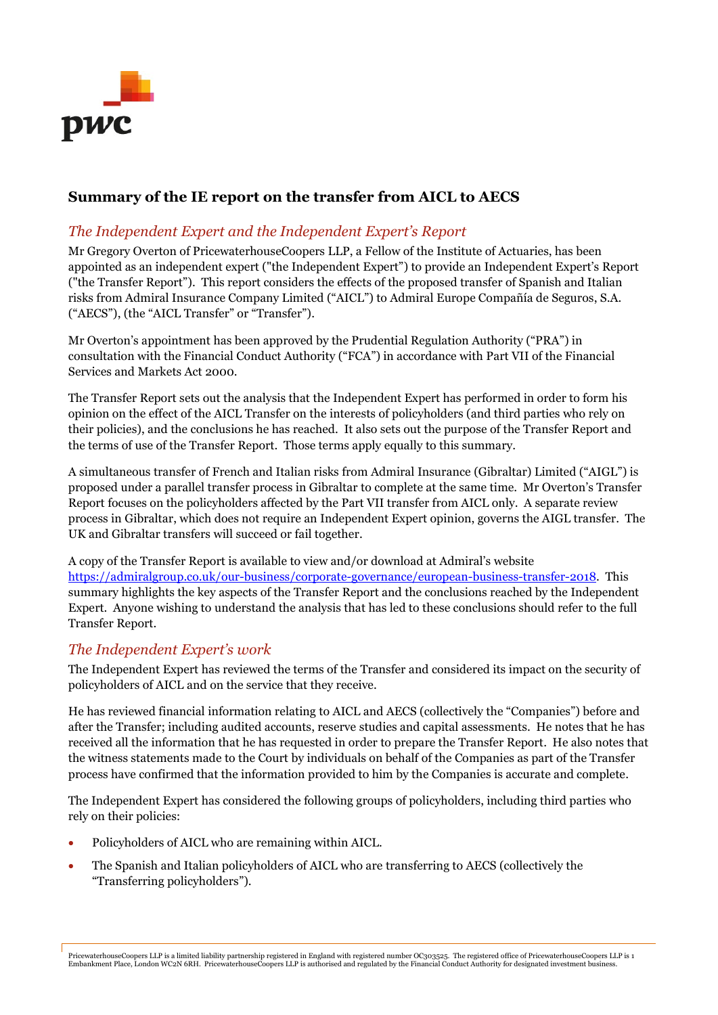

# Summary of the IE report on the transfer from AICL to AECS

### The Independent Expert and the Independent Expert's Report

Mr Gregory Overton of PricewaterhouseCoopers LLP, a Fellow of the Institute of Actuaries, has been appointed as an independent expert ("the Independent Expert") to provide an Independent Expert's Report ("the Transfer Report"). This report considers the effects of the proposed transfer of Spanish and Italian risks from Admiral Insurance Company Limited ("AICL") to Admiral Europe Compañía de Seguros, S.A. ("AECS"), (the "AICL Transfer" or "Transfer").

Mr Overton's appointment has been approved by the Prudential Regulation Authority ("PRA") in consultation with the Financial Conduct Authority ("FCA") in accordance with Part VII of the Financial Services and Markets Act 2000.

The Transfer Report sets out the analysis that the Independent Expert has performed in order to form his opinion on the effect of the AICL Transfer on the interests of policyholders (and third parties who rely on their policies), and the conclusions he has reached. It also sets out the purpose of the Transfer Report and the terms of use of the Transfer Report. Those terms apply equally to this summary.

A simultaneous transfer of French and Italian risks from Admiral Insurance (Gibraltar) Limited ("AIGL") is proposed under a parallel transfer process in Gibraltar to complete at the same time. Mr Overton's Transfer Report focuses on the policyholders affected by the Part VII transfer from AICL only. A separate review process in Gibraltar, which does not require an Independent Expert opinion, governs the AIGL transfer. The UK and Gibraltar transfers will succeed or fail together.

A copy of the Transfer Report is available to view and/or download at Admiral's website https://admiralgroup.co.uk/our-business/corporate-governance/european-business-transfer-2018. This summary highlights the key aspects of the Transfer Report and the conclusions reached by the Independent Expert. Anyone wishing to understand the analysis that has led to these conclusions should refer to the full Transfer Report.

### The Independent Expert's work

The Independent Expert has reviewed the terms of the Transfer and considered its impact on the security of policyholders of AICL and on the service that they receive.

He has reviewed financial information relating to AICL and AECS (collectively the "Companies") before and after the Transfer; including audited accounts, reserve studies and capital assessments. He notes that he has received all the information that he has requested in order to prepare the Transfer Report. He also notes that the witness statements made to the Court by individuals on behalf of the Companies as part of the Transfer process have confirmed that the information provided to him by the Companies is accurate and complete.

The Independent Expert has considered the following groups of policyholders, including third parties who rely on their policies:

- Policyholders of AICL who are remaining within AICL.
- The Spanish and Italian policyholders of AICL who are transferring to AECS (collectively the "Transferring policyholders").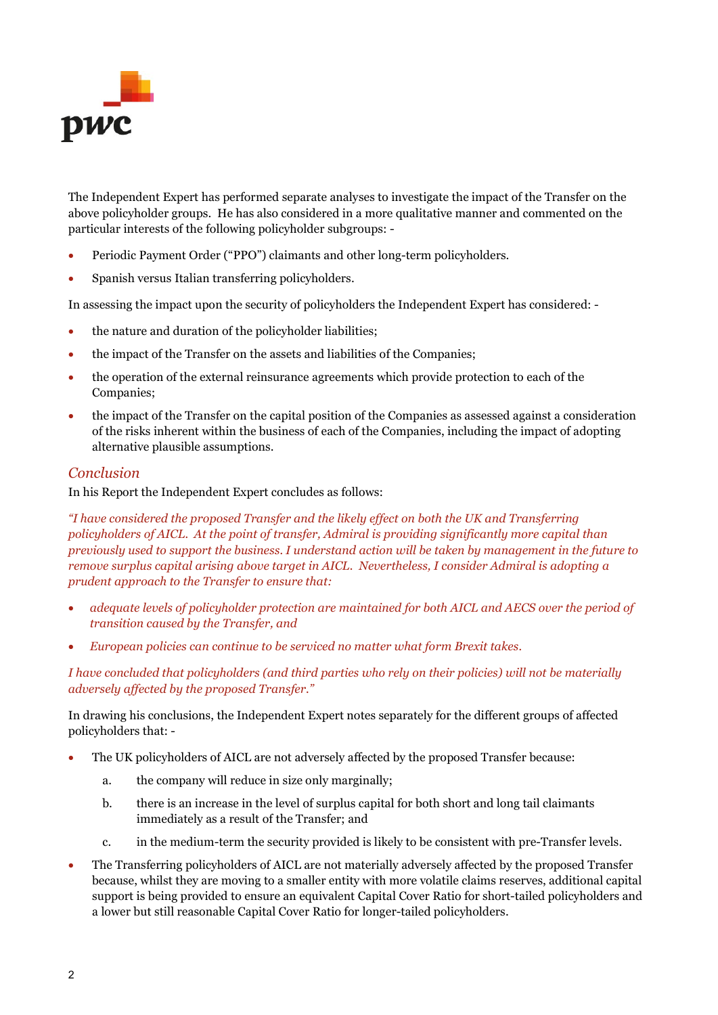

The Independent Expert has performed separate analyses to investigate the impact of the Transfer on the above policyholder groups. He has also considered in a more qualitative manner and commented on the particular interests of the following policyholder subgroups: -

- Periodic Payment Order ("PPO") claimants and other long-term policyholders.
- Spanish versus Italian transferring policyholders.

In assessing the impact upon the security of policyholders the Independent Expert has considered: -

- the nature and duration of the policyholder liabilities;
- the impact of the Transfer on the assets and liabilities of the Companies;
- the operation of the external reinsurance agreements which provide protection to each of the Companies;
- the impact of the Transfer on the capital position of the Companies as assessed against a consideration of the risks inherent within the business of each of the Companies, including the impact of adopting alternative plausible assumptions.

#### Conclusion

In his Report the Independent Expert concludes as follows:

"I have considered the proposed Transfer and the likely effect on both the UK and Transferring policyholders of AICL. At the point of transfer, Admiral is providing significantly more capital than previously used to support the business. I understand action will be taken by management in the future to remove surplus capital arising above target in AICL. Nevertheless, I consider Admiral is adopting a prudent approach to the Transfer to ensure that:

- adequate levels of policyholder protection are maintained for both AICL and AECS over the period of transition caused by the Transfer, and
- European policies can continue to be serviced no matter what form Brexit takes.

I have concluded that policyholders (and third parties who rely on their policies) will not be materially adversely affected by the proposed Transfer."

In drawing his conclusions, the Independent Expert notes separately for the different groups of affected policyholders that: -

- The UK policyholders of AICL are not adversely affected by the proposed Transfer because:
	- a. the company will reduce in size only marginally;
	- b. there is an increase in the level of surplus capital for both short and long tail claimants immediately as a result of the Transfer; and
	- c. in the medium-term the security provided is likely to be consistent with pre-Transfer levels.
- The Transferring policyholders of AICL are not materially adversely affected by the proposed Transfer because, whilst they are moving to a smaller entity with more volatile claims reserves, additional capital support is being provided to ensure an equivalent Capital Cover Ratio for short-tailed policyholders and a lower but still reasonable Capital Cover Ratio for longer-tailed policyholders.